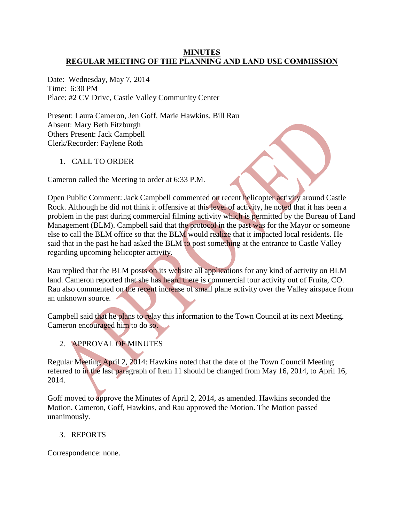### **MINUTES REGULAR MEETING OF THE PLANNING AND LAND USE COMMISSION**

Date: Wednesday, May 7, 2014 Time: 6:30 PM Place: #2 CV Drive, Castle Valley Community Center

Present: Laura Cameron, Jen Goff, Marie Hawkins, Bill Rau Absent: Mary Beth Fitzburgh Others Present: Jack Campbell Clerk/Recorder: Faylene Roth

1. CALL TO ORDER

Cameron called the Meeting to order at 6:33 P.M.

Open Public Comment: Jack Campbell commented on recent helicopter activity around Castle Rock. Although he did not think it offensive at this level of activity, he noted that it has been a problem in the past during commercial filming activity which is permitted by the Bureau of Land Management (BLM). Campbell said that the protocol in the past was for the Mayor or someone else to call the BLM office so that the BLM would realize that it impacted local residents. He said that in the past he had asked the BLM to post something at the entrance to Castle Valley regarding upcoming helicopter activity.

Rau replied that the BLM posts on its website all applications for any kind of activity on BLM land. Cameron reported that she has heard there is commercial tour activity out of Fruita, CO. Rau also commented on the recent increase of small plane activity over the Valley airspace from an unknown source.

Campbell said that he plans to relay this information to the Town Council at its next Meeting. Cameron encouraged him to do so.

2. APPROVAL OF MINUTES

Regular Meeting April 2, 2014: Hawkins noted that the date of the Town Council Meeting referred to in the last paragraph of Item 11 should be changed from May 16, 2014, to April 16, 2014.

Goff moved to approve the Minutes of April 2, 2014, as amended. Hawkins seconded the Motion. Cameron, Goff, Hawkins, and Rau approved the Motion. The Motion passed unanimously.

3. REPORTS

Correspondence: none.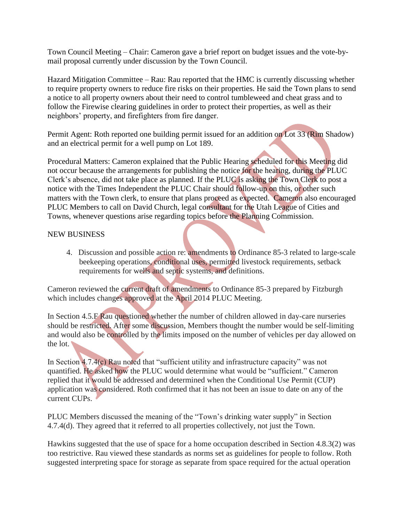Town Council Meeting – Chair: Cameron gave a brief report on budget issues and the vote-bymail proposal currently under discussion by the Town Council.

Hazard Mitigation Committee – Rau: Rau reported that the HMC is currently discussing whether to require property owners to reduce fire risks on their properties. He said the Town plans to send a notice to all property owners about their need to control tumbleweed and cheat grass and to follow the Firewise clearing guidelines in order to protect their properties, as well as their neighbors' property, and firefighters from fire danger.

Permit Agent: Roth reported one building permit issued for an addition on Lot 33 (Rim Shadow) and an electrical permit for a well pump on Lot 189.

Procedural Matters: Cameron explained that the Public Hearing scheduled for this Meeting did not occur because the arrangements for publishing the notice for the hearing, during the PLUC Clerk's absence, did not take place as planned. If the PLUC is asking the Town Clerk to post a notice with the Times Independent the PLUC Chair should follow-up on this, or other such matters with the Town clerk, to ensure that plans proceed as expected. Cameron also encouraged PLUC Members to call on David Church, legal consultant for the Utah League of Cities and Towns, whenever questions arise regarding topics before the Planning Commission.

## NEW BUSINESS

4. Discussion and possible action re: amendments to Ordinance 85-3 related to large-scale beekeeping operations, conditional uses, permitted livestock requirements, setback requirements for wells and septic systems, and definitions.

Cameron reviewed the current draft of amendments to Ordinance 85-3 prepared by Fitzburgh which includes changes approved at the April 2014 PLUC Meeting.

In Section 4.5.F Rau questioned whether the number of children allowed in day-care nurseries should be restricted. After some discussion, Members thought the number would be self-limiting and would also be controlled by the limits imposed on the number of vehicles per day allowed on the lot.

In Section 4.7.4(c) Rau noted that "sufficient utility and infrastructure capacity" was not quantified. He asked how the PLUC would determine what would be "sufficient." Cameron replied that it would be addressed and determined when the Conditional Use Permit (CUP) application was considered. Roth confirmed that it has not been an issue to date on any of the current CUPs.

PLUC Members discussed the meaning of the "Town's drinking water supply" in Section 4.7.4(d). They agreed that it referred to all properties collectively, not just the Town.

Hawkins suggested that the use of space for a home occupation described in Section 4.8.3(2) was too restrictive. Rau viewed these standards as norms set as guidelines for people to follow. Roth suggested interpreting space for storage as separate from space required for the actual operation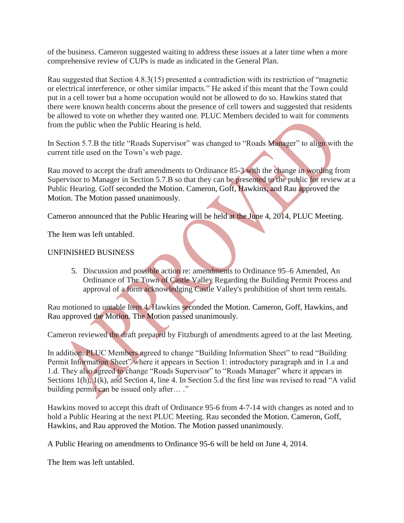of the business. Cameron suggested waiting to address these issues at a later time when a more comprehensive review of CUPs is made as indicated in the General Plan.

Rau suggested that Section 4.8.3(15) presented a contradiction with its restriction of "magnetic or electrical interference, or other similar impacts." He asked if this meant that the Town could put in a cell tower but a home occupation would not be allowed to do so. Hawkins stated that there were known health concerns about the presence of cell towers and suggested that residents be allowed to vote on whether they wanted one. PLUC Members decided to wait for comments from the public when the Public Hearing is held.

In Section 5.7.B the title "Roads Supervisor" was changed to "Roads Manager" to align with the current title used on the Town's web page.

Rau moved to accept the draft amendments to Ordinance 85-3 with the change in wording from Supervisor to Manager in Section 5.7.B so that they can be presented to the public for review at a Public Hearing. Goff seconded the Motion. Cameron, Goff, Hawkins, and Rau approved the Motion. The Motion passed unanimously.

Cameron announced that the Public Hearing will be held at the June 4, 2014, PLUC Meeting.

The Item was left untabled.

# UNFINISHED BUSINESS

5. Discussion and possible action re: amendments to Ordinance 95–6 Amended, An Ordinance of The Town of Castle Valley Regarding the Building Permit Process and approval of a form acknowledging Castle Valley's prohibition of short term rentals.

Rau motioned to untable Item 4. Hawkins seconded the Motion. Cameron, Goff, Hawkins, and Rau approved the Motion. The Motion passed unanimously.

Cameron reviewed the draft prepared by Fitzburgh of amendments agreed to at the last Meeting.

In addition, PLUC Members agreed to change "Building Information Sheet" to read "Building Permit Information Sheet" where it appears in Section 1: introductory paragraph and in 1.a and 1.d. They also agreed to change "Roads Supervisor" to "Roads Manager" where it appears in Sections 1(h), 1(k), and Section 4, line 4. In Section 5.d the first line was revised to read "A valid building permit can be issued only after… ."

Hawkins moved to accept this draft of Ordinance 95-6 from 4-7-14 with changes as noted and to hold a Public Hearing at the next PLUC Meeting. Rau seconded the Motion. Cameron, Goff, Hawkins, and Rau approved the Motion. The Motion passed unanimously.

A Public Hearing on amendments to Ordinance 95-6 will be held on June 4, 2014.

The Item was left untabled.